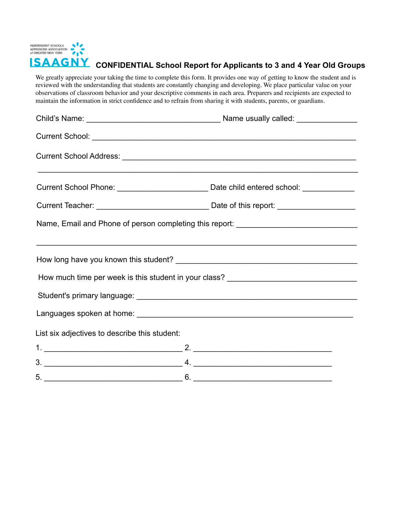

# **LSAAGNY** CONFIDENTIAL School Report for Applicants to 3 and 4 Year Old Groups

We greatly appreciate your taking the time to complete this form. It provides one way of getting to know the student and is reviewed with the understanding that students are constantly changing and developing. We place particular value on your observations of classroom behavior and your descriptive comments in each area. Preparers and recipients are expected to maintain the information in strict confidence and to refrain from sharing it with students, parents, or guardians.

|                                               | Current School: <u>Current School:</u>                                                                               |
|-----------------------------------------------|----------------------------------------------------------------------------------------------------------------------|
|                                               | <u> 1990 - Jan Barat de Santa Garristo, espainiar espainiar espainiar a la contradición de la contradición de la</u> |
|                                               |                                                                                                                      |
|                                               |                                                                                                                      |
|                                               | Name, Email and Phone of person completing this report: ________________________                                     |
|                                               | How much time per week is this student in your class? ___________________________                                    |
| List six adjectives to describe this student: |                                                                                                                      |
|                                               | 2. $\overline{\phantom{a}}$                                                                                          |
|                                               |                                                                                                                      |
| 5.                                            | 6.                                                                                                                   |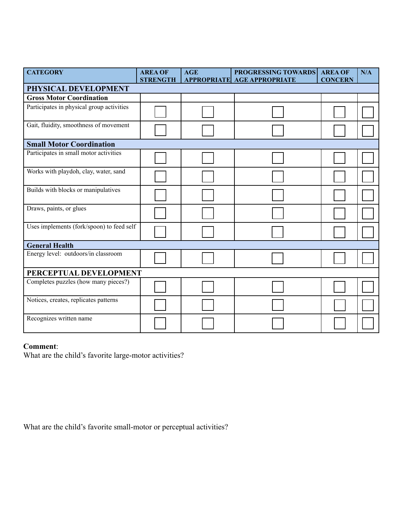| <b>CATEGORY</b>                           | <b>AREA OF</b><br><b>STRENGTH</b> | <b>AGE</b> | PROGRESSING TOWARDS<br><b>APPROPRIATE AGE APPROPRIATE</b> | <b>AREA OF</b><br><b>CONCERN</b> | N/A |
|-------------------------------------------|-----------------------------------|------------|-----------------------------------------------------------|----------------------------------|-----|
| PHYSICAL DEVELOPMENT                      |                                   |            |                                                           |                                  |     |
| <b>Gross Motor Coordination</b>           |                                   |            |                                                           |                                  |     |
| Participates in physical group activities |                                   |            |                                                           |                                  |     |
| Gait, fluidity, smoothness of movement    |                                   |            |                                                           |                                  |     |
| <b>Small Motor Coordination</b>           |                                   |            |                                                           |                                  |     |
| Participates in small motor activities    |                                   |            |                                                           |                                  |     |
| Works with playdoh, clay, water, sand     |                                   |            |                                                           |                                  |     |
| Builds with blocks or manipulatives       |                                   |            |                                                           |                                  |     |
| Draws, paints, or glues                   |                                   |            |                                                           |                                  |     |
| Uses implements (fork/spoon) to feed self |                                   |            |                                                           |                                  |     |
| <b>General Health</b>                     |                                   |            |                                                           |                                  |     |
| Energy level: outdoors/in classroom       |                                   |            |                                                           |                                  |     |
| PERCEPTUAL DEVELOPMENT                    |                                   |            |                                                           |                                  |     |
| Completes puzzles (how many pieces?)      |                                   |            |                                                           |                                  |     |
| Notices, creates, replicates patterns     |                                   |            |                                                           |                                  |     |
| Recognizes written name                   |                                   |            |                                                           |                                  |     |

## **Comment**:

What are the child's favorite large-motor activities?

What are the child's favorite small-motor or perceptual activities?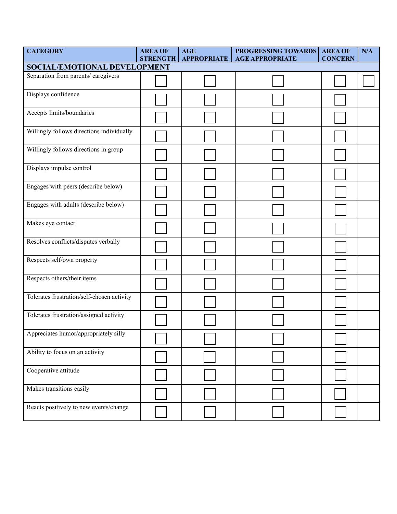| <b>CATEGORY</b>                            | <b>AREA OF</b><br><b>STRENGTH</b> | <b>AGE</b><br><b>APPROPRIATE</b> | PROGRESSING TOWARDS<br><b>AGE APPROPRIATE</b> | <b>AREA OF</b><br><b>CONCERN</b> | N/A |  |  |
|--------------------------------------------|-----------------------------------|----------------------------------|-----------------------------------------------|----------------------------------|-----|--|--|
| <b>SOCIAL/EMOTIONAL DEVELOPMENT</b>        |                                   |                                  |                                               |                                  |     |  |  |
| Separation from parents/ caregivers        |                                   |                                  |                                               |                                  |     |  |  |
| Displays confidence                        |                                   |                                  |                                               |                                  |     |  |  |
| Accepts limits/boundaries                  |                                   |                                  |                                               |                                  |     |  |  |
| Willingly follows directions individually  |                                   |                                  |                                               |                                  |     |  |  |
| Willingly follows directions in group      |                                   |                                  |                                               |                                  |     |  |  |
| Displays impulse control                   |                                   |                                  |                                               |                                  |     |  |  |
| Engages with peers (describe below)        |                                   |                                  |                                               |                                  |     |  |  |
| Engages with adults (describe below)       |                                   |                                  |                                               |                                  |     |  |  |
| Makes eye contact                          |                                   |                                  |                                               |                                  |     |  |  |
| Resolves conflicts/disputes verbally       |                                   |                                  |                                               |                                  |     |  |  |
| Respects self/own property                 |                                   |                                  |                                               |                                  |     |  |  |
| Respects others/their items                |                                   |                                  |                                               |                                  |     |  |  |
| Tolerates frustration/self-chosen activity |                                   |                                  |                                               |                                  |     |  |  |
| Tolerates frustration/assigned activity    |                                   |                                  |                                               |                                  |     |  |  |
| Appreciates humor/appropriately silly      |                                   |                                  |                                               |                                  |     |  |  |
| Ability to focus on an activity            |                                   |                                  |                                               |                                  |     |  |  |
| Cooperative attitude                       |                                   |                                  |                                               |                                  |     |  |  |
| Makes transitions easily                   |                                   |                                  |                                               |                                  |     |  |  |
| Reacts positively to new events/change     |                                   |                                  |                                               |                                  |     |  |  |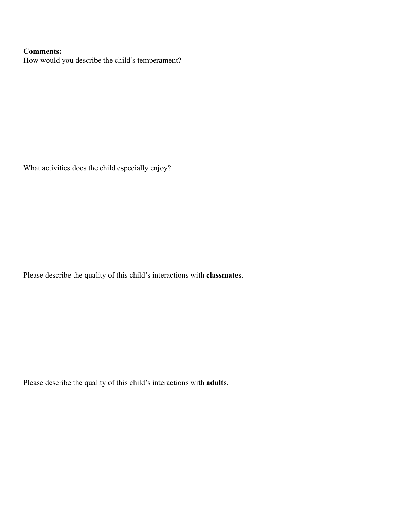### **Comments:**

How would you describe the child's temperament?

What activities does the child especially enjoy?

Please describe the quality of this child's interactions with **classmates**.

Please describe the quality of this child's interactions with **adults**.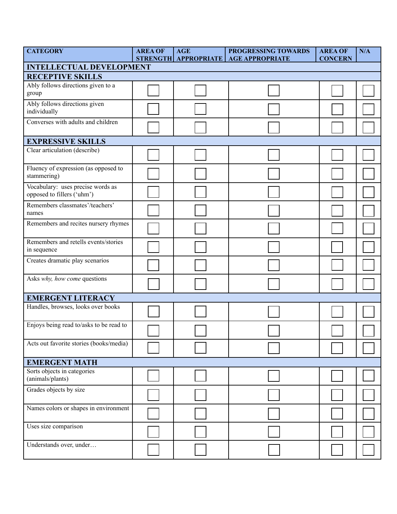| <b>CATEGORY</b>                                                 | <b>AREA OF</b> | <b>AGE</b><br>STRENGTH APPROPRIATE | PROGRESSING TOWARDS<br><b>AGE APPROPRIATE</b> | <b>AREA OF</b><br><b>CONCERN</b> | N/A |  |  |
|-----------------------------------------------------------------|----------------|------------------------------------|-----------------------------------------------|----------------------------------|-----|--|--|
| <b>INTELLECTUAL DEVELOPMENT</b>                                 |                |                                    |                                               |                                  |     |  |  |
| <b>RECEPTIVE SKILLS</b>                                         |                |                                    |                                               |                                  |     |  |  |
| Ably follows directions given to a<br>group                     |                |                                    |                                               |                                  |     |  |  |
| Ably follows directions given<br>individually                   |                |                                    |                                               |                                  |     |  |  |
| Converses with adults and children                              |                |                                    |                                               |                                  |     |  |  |
| <b>EXPRESSIVE SKILLS</b>                                        |                |                                    |                                               |                                  |     |  |  |
| Clear articulation (describe)                                   |                |                                    |                                               |                                  |     |  |  |
| Fluency of expression (as opposed to<br>stammering)             |                |                                    |                                               |                                  |     |  |  |
| Vocabulary: uses precise words as<br>opposed to fillers ('uhm') |                |                                    |                                               |                                  |     |  |  |
| Remembers classmates'/teachers'<br>names                        |                |                                    |                                               |                                  |     |  |  |
| Remembers and recites nursery rhymes                            |                |                                    |                                               |                                  |     |  |  |
| Remembers and retells events/stories<br>in sequence             |                |                                    |                                               |                                  |     |  |  |
| Creates dramatic play scenarios                                 |                |                                    |                                               |                                  |     |  |  |
| Asks why, how come questions                                    |                |                                    |                                               |                                  |     |  |  |
| <b>EMERGENT LITERACY</b>                                        |                |                                    |                                               |                                  |     |  |  |
| Handles, browses, looks over books                              |                |                                    |                                               |                                  |     |  |  |
| Enjoys being read to/asks to be read to                         |                |                                    |                                               |                                  |     |  |  |
| Acts out favorite stories (books/media)                         |                |                                    |                                               |                                  |     |  |  |
| <b>EMERGENT MATH</b>                                            |                |                                    |                                               |                                  |     |  |  |
| Sorts objects in categories<br>(animals/plants)                 |                |                                    |                                               |                                  |     |  |  |
| Grades objects by size                                          |                |                                    |                                               |                                  |     |  |  |
| Names colors or shapes in environment                           |                |                                    |                                               |                                  |     |  |  |
| Uses size comparison                                            |                |                                    |                                               |                                  |     |  |  |
| Understands over, under                                         |                |                                    |                                               |                                  |     |  |  |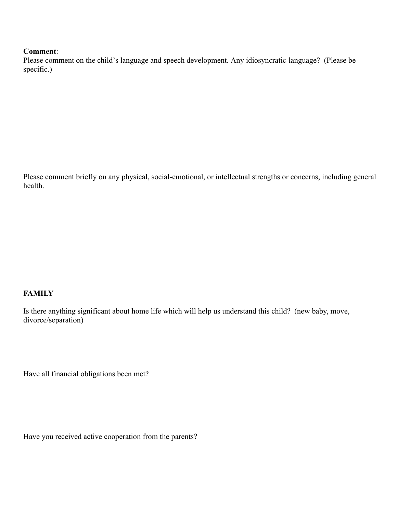#### **Comment**:

Please comment on the child's language and speech development. Any idiosyncratic language? (Please be specific.)

Please comment briefly on any physical, social-emotional, or intellectual strengths or concerns, including general health.

#### **FAMILY**

Is there anything significant about home life which will help us understand this child? (new baby, move, divorce/separation)

Have all financial obligations been met?

Have you received active cooperation from the parents?